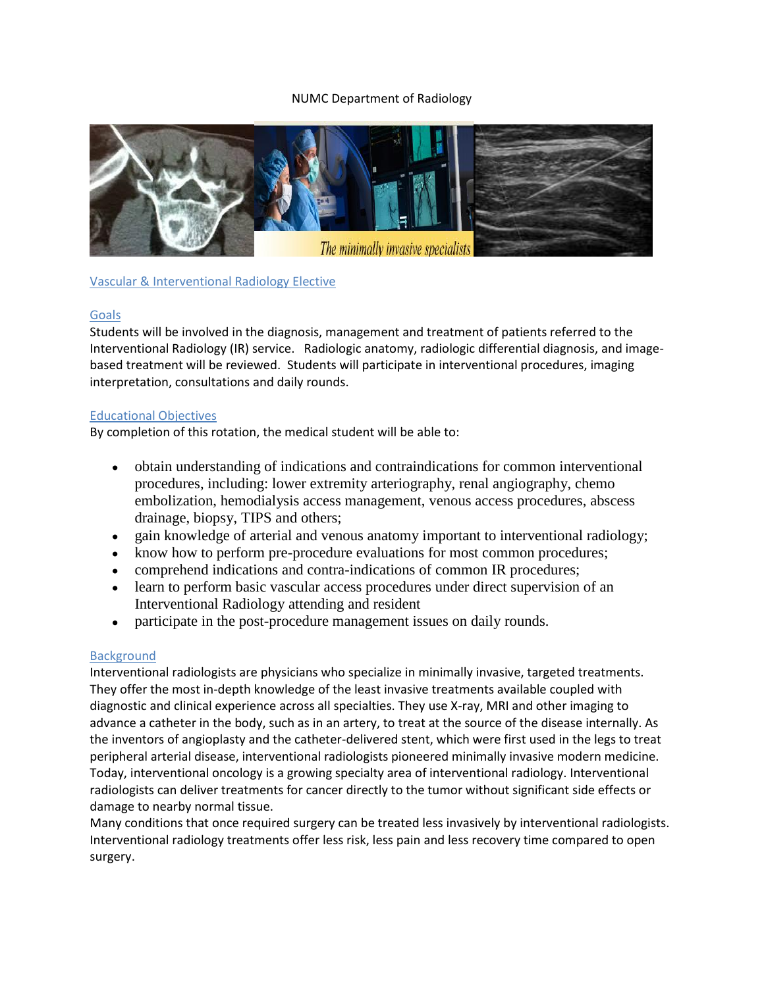# NUMC Department of Radiology



# Vascular & Interventional Radiology Elective

# Goals

Students will be involved in the diagnosis, management and treatment of patients referred to the Interventional Radiology (IR) service. Radiologic anatomy, radiologic differential diagnosis, and imagebased treatment will be reviewed. Students will participate in interventional procedures, imaging interpretation, consultations and daily rounds.

### Educational Objectives

By completion of this rotation, the medical student will be able to:

- obtain understanding of indications and contraindications for common interventional procedures, including: lower extremity arteriography, renal angiography, chemo embolization, hemodialysis access management, venous access procedures, abscess drainage, biopsy, TIPS and others;
- gain knowledge of arterial and venous anatomy important to interventional radiology;
- know how to perform pre-procedure evaluations for most common procedures;
- comprehend indications and contra-indications of common IR procedures;
- learn to perform basic vascular access procedures under direct supervision of an Interventional Radiology attending and resident
- participate in the post-procedure management issues on daily rounds.  $\bullet$

# Background

Interventional radiologists are physicians who specialize in minimally invasive, targeted treatments. They offer the most in-depth knowledge of the least invasive treatments available coupled with diagnostic and clinical experience across all specialties. They use X-ray, MRI and other imaging to advance a catheter in the body, such as in an artery, to treat at the source of the disease internally. As the inventors of angioplasty and the catheter-delivered stent, which were first used in the legs to treat peripheral arterial disease, interventional radiologists pioneered minimally invasive modern medicine. Today, interventional oncology is a growing specialty area of interventional radiology. Interventional radiologists can deliver treatments for cancer directly to the tumor without significant side effects or damage to nearby normal tissue.

Many conditions that once required surgery can be treated less invasively by interventional radiologists. Interventional radiology treatments offer less risk, less pain and less recovery time compared to open surgery.